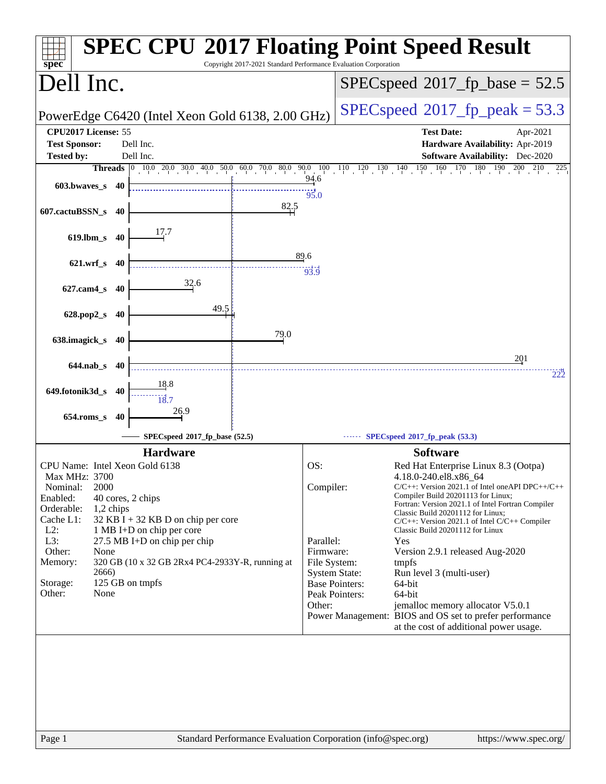| $spec^*$                                                                   | <b>SPEC CPU®2017 Floating Point Speed Result</b><br>Copyright 2017-2021 Standard Performance Evaluation Corporation |
|----------------------------------------------------------------------------|---------------------------------------------------------------------------------------------------------------------|
| Dell Inc.                                                                  | $SPEC speed^{\circ}2017\_fp\_base = 52.5$                                                                           |
| PowerEdge C6420 (Intel Xeon Gold 6138, 2.00 GHz)                           | $SPEC speed^{\circ}2017$ _fp_peak = 53.3                                                                            |
| CPU2017 License: 55<br><b>Test Sponsor:</b><br>Dell Inc.                   | <b>Test Date:</b><br>Apr-2021<br>Hardware Availability: Apr-2019                                                    |
| Dell Inc.<br><b>Tested by:</b>                                             | <b>Software Availability:</b> Dec-2020                                                                              |
|                                                                            | Threads 0 10.0 20.0 30.0 40.0 50.0 60.0 70.0 80.0 90.0 100 110 120 130 140 150 160 170 180 190 200 210 225          |
| 603.bwaves s 40                                                            | 94.6<br>95.0                                                                                                        |
| 82.5<br>607.cactuBSSN_s 40                                                 |                                                                                                                     |
| 17.7<br>$619$ .lbm_s<br>40                                                 |                                                                                                                     |
| 621.wrf_s 40                                                               | 89.6                                                                                                                |
| 32.6<br>627.cam4_s 40                                                      | 93.9                                                                                                                |
| 49.5<br>628.pop2_s<br>40                                                   |                                                                                                                     |
| 79.0<br>638.imagick_s<br>40                                                |                                                                                                                     |
|                                                                            |                                                                                                                     |
| $644$ .nab s 40                                                            | 201<br>222                                                                                                          |
| 649.fotonik3d_s<br>40                                                      |                                                                                                                     |
| 26.9<br>$654$ .roms_s<br>40                                                |                                                                                                                     |
| SPECspeed®2017_fp_base (52.5)                                              | SPECspeed <sup>®</sup> 2017_fp_peak (53.3)                                                                          |
| <b>Hardware</b>                                                            | <b>Software</b>                                                                                                     |
| CPU Name: Intel Xeon Gold 6138                                             | OS:<br>Red Hat Enterprise Linux 8.3 (Ootpa)                                                                         |
| Max MHz: 3700                                                              | 4.18.0-240.el8.x86_64                                                                                               |
| Nominal:<br>2000<br>Enabled:<br>40 cores, 2 chips                          | Compiler:<br>$C/C++$ : Version 2021.1 of Intel one API DPC++/C++<br>Compiler Build 20201113 for Linux;              |
| Orderable:<br>1,2 chips                                                    | Fortran: Version 2021.1 of Intel Fortran Compiler<br>Classic Build 20201112 for Linux;                              |
| Cache L1:<br>$32$ KB I + 32 KB D on chip per core                          | $C/C++$ : Version 2021.1 of Intel $C/C++$ Compiler                                                                  |
| $L2$ :<br>1 MB I+D on chip per core<br>L3:<br>27.5 MB I+D on chip per chip | Classic Build 20201112 for Linux<br>Parallel:<br>Yes                                                                |
| Other:<br>None                                                             | Firmware:<br>Version 2.9.1 released Aug-2020                                                                        |
| 320 GB (10 x 32 GB 2Rx4 PC4-2933Y-R, running at<br>Memory:                 | File System:<br>tmpfs                                                                                               |
| 2666)                                                                      | <b>System State:</b><br>Run level 3 (multi-user)                                                                    |
| 125 GB on tmpfs<br>Storage:<br>Other:<br>None                              | <b>Base Pointers:</b><br>64-bit<br>Peak Pointers:<br>64-bit                                                         |
|                                                                            | Other:<br>jemalloc memory allocator V5.0.1                                                                          |
|                                                                            | Power Management: BIOS and OS set to prefer performance<br>at the cost of additional power usage.                   |
|                                                                            |                                                                                                                     |
|                                                                            |                                                                                                                     |
|                                                                            |                                                                                                                     |
|                                                                            |                                                                                                                     |
|                                                                            |                                                                                                                     |
|                                                                            |                                                                                                                     |
| Page 1                                                                     | Standard Performance Evaluation Corporation (info@spec.org)<br>https://www.spec.org/                                |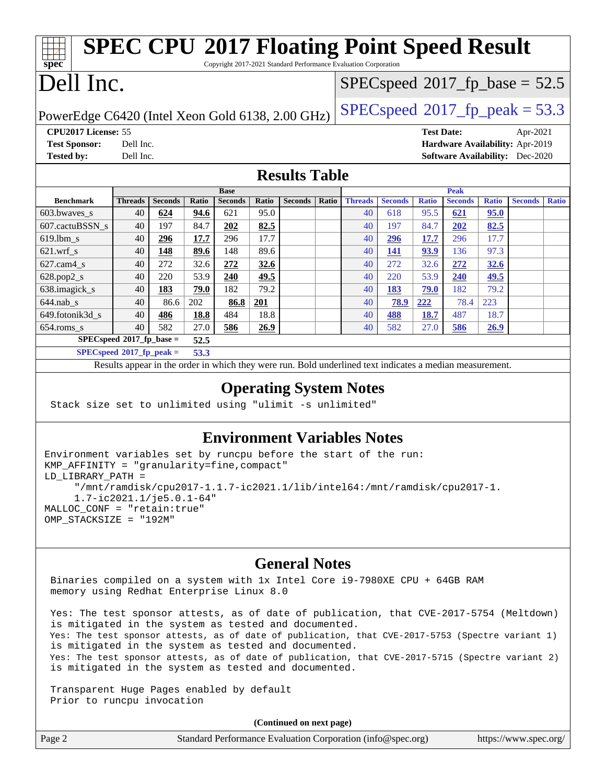#### **[spec](http://www.spec.org/) [SPEC CPU](http://www.spec.org/auto/cpu2017/Docs/result-fields.html#SPECCPU2017FloatingPointSpeedResult)[2017 Floating Point Speed Result](http://www.spec.org/auto/cpu2017/Docs/result-fields.html#SPECCPU2017FloatingPointSpeedResult)** Copyright 2017-2021 Standard Performance Evaluation Corporation Dell Inc. PowerEdge C6420 (Intel Xeon Gold 6138, 2.00 GHz)  $\left|$  [SPECspeed](http://www.spec.org/auto/cpu2017/Docs/result-fields.html#SPECspeed2017fppeak)®[2017\\_fp\\_peak = 5](http://www.spec.org/auto/cpu2017/Docs/result-fields.html#SPECspeed2017fppeak)3.3  $SPECspeed^{\circ}2017\_fp\_base = 52.5$  $SPECspeed^{\circ}2017\_fp\_base = 52.5$ **[CPU2017 License:](http://www.spec.org/auto/cpu2017/Docs/result-fields.html#CPU2017License)** 55 **[Test Date:](http://www.spec.org/auto/cpu2017/Docs/result-fields.html#TestDate)** Apr-2021 **[Test Sponsor:](http://www.spec.org/auto/cpu2017/Docs/result-fields.html#TestSponsor)** Dell Inc. **[Hardware Availability:](http://www.spec.org/auto/cpu2017/Docs/result-fields.html#HardwareAvailability)** Apr-2019 **[Tested by:](http://www.spec.org/auto/cpu2017/Docs/result-fields.html#Testedby)** Dell Inc. **[Software Availability:](http://www.spec.org/auto/cpu2017/Docs/result-fields.html#SoftwareAvailability)** Dec-2020 **[Results Table](http://www.spec.org/auto/cpu2017/Docs/result-fields.html#ResultsTable) [Benchmark](http://www.spec.org/auto/cpu2017/Docs/result-fields.html#Benchmark) [Threads](http://www.spec.org/auto/cpu2017/Docs/result-fields.html#Threads) [Seconds](http://www.spec.org/auto/cpu2017/Docs/result-fields.html#Seconds) [Ratio](http://www.spec.org/auto/cpu2017/Docs/result-fields.html#Ratio) [Seconds](http://www.spec.org/auto/cpu2017/Docs/result-fields.html#Seconds) [Ratio](http://www.spec.org/auto/cpu2017/Docs/result-fields.html#Ratio) [Seconds](http://www.spec.org/auto/cpu2017/Docs/result-fields.html#Seconds) [Ratio](http://www.spec.org/auto/cpu2017/Docs/result-fields.html#Ratio) Base [Threads](http://www.spec.org/auto/cpu2017/Docs/result-fields.html#Threads) [Seconds](http://www.spec.org/auto/cpu2017/Docs/result-fields.html#Seconds) [Ratio](http://www.spec.org/auto/cpu2017/Docs/result-fields.html#Ratio) [Seconds](http://www.spec.org/auto/cpu2017/Docs/result-fields.html#Seconds) [Ratio](http://www.spec.org/auto/cpu2017/Docs/result-fields.html#Ratio) [Seconds](http://www.spec.org/auto/cpu2017/Docs/result-fields.html#Seconds) [Ratio](http://www.spec.org/auto/cpu2017/Docs/result-fields.html#Ratio) Peak** [603.bwaves\\_s](http://www.spec.org/auto/cpu2017/Docs/benchmarks/603.bwaves_s.html) 40 **[624](http://www.spec.org/auto/cpu2017/Docs/result-fields.html#Median) [94.6](http://www.spec.org/auto/cpu2017/Docs/result-fields.html#Median)** 621 95.0 40 618 95.5 **[621](http://www.spec.org/auto/cpu2017/Docs/result-fields.html#Median) [95.0](http://www.spec.org/auto/cpu2017/Docs/result-fields.html#Median)** [607.cactuBSSN\\_s](http://www.spec.org/auto/cpu2017/Docs/benchmarks/607.cactuBSSN_s.html) 40 197 84.7 **[202](http://www.spec.org/auto/cpu2017/Docs/result-fields.html#Median) [82.5](http://www.spec.org/auto/cpu2017/Docs/result-fields.html#Median)** 40 197 84.7 **[202](http://www.spec.org/auto/cpu2017/Docs/result-fields.html#Median) [82.5](http://www.spec.org/auto/cpu2017/Docs/result-fields.html#Median)** [619.lbm\\_s](http://www.spec.org/auto/cpu2017/Docs/benchmarks/619.lbm_s.html) 40 **[296](http://www.spec.org/auto/cpu2017/Docs/result-fields.html#Median) [17.7](http://www.spec.org/auto/cpu2017/Docs/result-fields.html#Median)** 296 17.7 40 **[296](http://www.spec.org/auto/cpu2017/Docs/result-fields.html#Median) [17.7](http://www.spec.org/auto/cpu2017/Docs/result-fields.html#Median)** 296 17.7 [621.wrf\\_s](http://www.spec.org/auto/cpu2017/Docs/benchmarks/621.wrf_s.html) 40 **[148](http://www.spec.org/auto/cpu2017/Docs/result-fields.html#Median) [89.6](http://www.spec.org/auto/cpu2017/Docs/result-fields.html#Median)** 148 89.6 40 **[141](http://www.spec.org/auto/cpu2017/Docs/result-fields.html#Median) [93.9](http://www.spec.org/auto/cpu2017/Docs/result-fields.html#Median)** 136 97.3 [627.cam4\\_s](http://www.spec.org/auto/cpu2017/Docs/benchmarks/627.cam4_s.html) 40 272 32.6 **[272](http://www.spec.org/auto/cpu2017/Docs/result-fields.html#Median) [32.6](http://www.spec.org/auto/cpu2017/Docs/result-fields.html#Median)** 40 272 32.6 **[272](http://www.spec.org/auto/cpu2017/Docs/result-fields.html#Median) [32.6](http://www.spec.org/auto/cpu2017/Docs/result-fields.html#Median)** [628.pop2\\_s](http://www.spec.org/auto/cpu2017/Docs/benchmarks/628.pop2_s.html) 40 220 53.9 **[240](http://www.spec.org/auto/cpu2017/Docs/result-fields.html#Median) [49.5](http://www.spec.org/auto/cpu2017/Docs/result-fields.html#Median)** 40 220 53.9 **[240](http://www.spec.org/auto/cpu2017/Docs/result-fields.html#Median) [49.5](http://www.spec.org/auto/cpu2017/Docs/result-fields.html#Median)** [638.imagick\\_s](http://www.spec.org/auto/cpu2017/Docs/benchmarks/638.imagick_s.html) 40 **[183](http://www.spec.org/auto/cpu2017/Docs/result-fields.html#Median) [79.0](http://www.spec.org/auto/cpu2017/Docs/result-fields.html#Median)** 182 79.2 40 **[183](http://www.spec.org/auto/cpu2017/Docs/result-fields.html#Median) [79.0](http://www.spec.org/auto/cpu2017/Docs/result-fields.html#Median)** 182 79.2 [644.nab\\_s](http://www.spec.org/auto/cpu2017/Docs/benchmarks/644.nab_s.html) 40 86.6 202 **[86.8](http://www.spec.org/auto/cpu2017/Docs/result-fields.html#Median) [201](http://www.spec.org/auto/cpu2017/Docs/result-fields.html#Median)** 40 **[78.9](http://www.spec.org/auto/cpu2017/Docs/result-fields.html#Median) [222](http://www.spec.org/auto/cpu2017/Docs/result-fields.html#Median)** 78.4 223 [649.fotonik3d\\_s](http://www.spec.org/auto/cpu2017/Docs/benchmarks/649.fotonik3d_s.html) 40 **[486](http://www.spec.org/auto/cpu2017/Docs/result-fields.html#Median) [18.8](http://www.spec.org/auto/cpu2017/Docs/result-fields.html#Median)** 484 18.8 40 **[488](http://www.spec.org/auto/cpu2017/Docs/result-fields.html#Median) [18.7](http://www.spec.org/auto/cpu2017/Docs/result-fields.html#Median)** 487 18.7 [654.roms\\_s](http://www.spec.org/auto/cpu2017/Docs/benchmarks/654.roms_s.html) 40 582 27.0 **[586](http://www.spec.org/auto/cpu2017/Docs/result-fields.html#Median) [26.9](http://www.spec.org/auto/cpu2017/Docs/result-fields.html#Median)** 40 582 27.0 **[586](http://www.spec.org/auto/cpu2017/Docs/result-fields.html#Median) [26.9](http://www.spec.org/auto/cpu2017/Docs/result-fields.html#Median) [SPECspeed](http://www.spec.org/auto/cpu2017/Docs/result-fields.html#SPECspeed2017fpbase)[2017\\_fp\\_base =](http://www.spec.org/auto/cpu2017/Docs/result-fields.html#SPECspeed2017fpbase) 52.5 [SPECspeed](http://www.spec.org/auto/cpu2017/Docs/result-fields.html#SPECspeed2017fppeak)[2017\\_fp\\_peak =](http://www.spec.org/auto/cpu2017/Docs/result-fields.html#SPECspeed2017fppeak) 53.3** Results appear in the [order in which they were run.](http://www.spec.org/auto/cpu2017/Docs/result-fields.html#RunOrder) Bold underlined text [indicates a median measurement.](http://www.spec.org/auto/cpu2017/Docs/result-fields.html#Median)

### **[Operating System Notes](http://www.spec.org/auto/cpu2017/Docs/result-fields.html#OperatingSystemNotes)**

Stack size set to unlimited using "ulimit -s unlimited"

### **[Environment Variables Notes](http://www.spec.org/auto/cpu2017/Docs/result-fields.html#EnvironmentVariablesNotes)**

```
Environment variables set by runcpu before the start of the run:
KMP AFFINITY = "granularity=fine, compact"
LD_LIBRARY_PATH =
      "/mnt/ramdisk/cpu2017-1.1.7-ic2021.1/lib/intel64:/mnt/ramdisk/cpu2017-1.
      1.7-ic2021.1/je5.0.1-64"
MALLOC_CONF = "retain:true"
OMP_STACKSIZE = "192M"
```
### **[General Notes](http://www.spec.org/auto/cpu2017/Docs/result-fields.html#GeneralNotes)**

 Binaries compiled on a system with 1x Intel Core i9-7980XE CPU + 64GB RAM memory using Redhat Enterprise Linux 8.0

 Yes: The test sponsor attests, as of date of publication, that CVE-2017-5754 (Meltdown) is mitigated in the system as tested and documented. Yes: The test sponsor attests, as of date of publication, that CVE-2017-5753 (Spectre variant 1) is mitigated in the system as tested and documented. Yes: The test sponsor attests, as of date of publication, that CVE-2017-5715 (Spectre variant 2) is mitigated in the system as tested and documented.

 Transparent Huge Pages enabled by default Prior to runcpu invocation

**(Continued on next page)**

| Page 2 | Standard Performance Evaluation Corporation (info@spec.org) | https://www.spec.org/ |
|--------|-------------------------------------------------------------|-----------------------|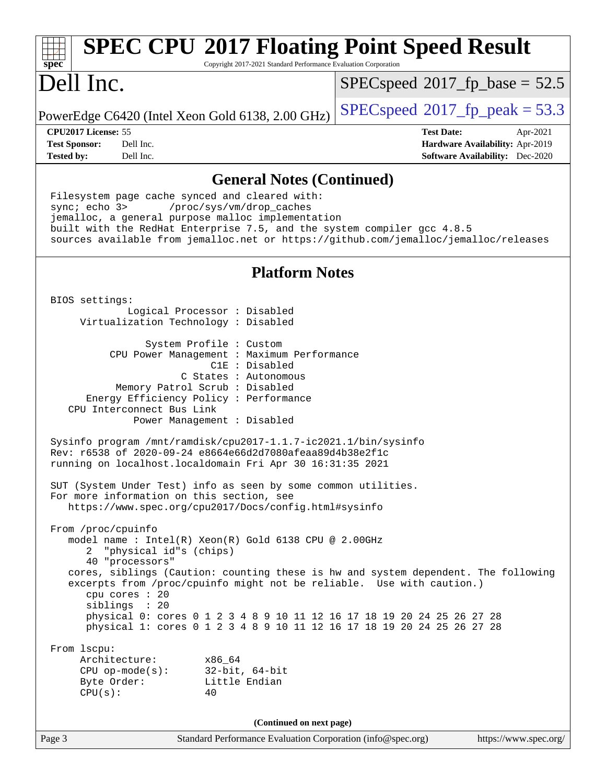| <b>SPEC CPU®2017 Floating Point Speed Result</b><br>Copyright 2017-2021 Standard Performance Evaluation Corporation<br>spec <sup>®</sup>                                                                                                                                                                                                                |                                                                           |  |
|---------------------------------------------------------------------------------------------------------------------------------------------------------------------------------------------------------------------------------------------------------------------------------------------------------------------------------------------------------|---------------------------------------------------------------------------|--|
| Dell Inc.                                                                                                                                                                                                                                                                                                                                               | $SPEC speed^{\circ}2017\_fp\_base = 52.5$                                 |  |
| PowerEdge C6420 (Intel Xeon Gold 6138, 2.00 GHz)                                                                                                                                                                                                                                                                                                        | $SPEC speed^{\circ}2017$ _fp_peak = 53.3                                  |  |
| CPU2017 License: 55                                                                                                                                                                                                                                                                                                                                     | <b>Test Date:</b><br>Apr-2021                                             |  |
| Dell Inc.<br><b>Test Sponsor:</b><br>Dell Inc.<br><b>Tested by:</b>                                                                                                                                                                                                                                                                                     | Hardware Availability: Apr-2019<br><b>Software Availability:</b> Dec-2020 |  |
|                                                                                                                                                                                                                                                                                                                                                         |                                                                           |  |
| <b>General Notes (Continued)</b><br>Filesystem page cache synced and cleared with:<br>sync; echo 3><br>/proc/sys/vm/drop_caches<br>jemalloc, a general purpose malloc implementation<br>built with the RedHat Enterprise 7.5, and the system compiler gcc 4.8.5<br>sources available from jemalloc.net or https://github.com/jemalloc/jemalloc/releases |                                                                           |  |
| <b>Platform Notes</b>                                                                                                                                                                                                                                                                                                                                   |                                                                           |  |
| BIOS settings:                                                                                                                                                                                                                                                                                                                                          |                                                                           |  |
| Logical Processor : Disabled<br>Virtualization Technology : Disabled                                                                                                                                                                                                                                                                                    |                                                                           |  |
| System Profile : Custom<br>CPU Power Management : Maximum Performance<br>$C1E$ : Disabled<br>C States : Autonomous<br>Memory Patrol Scrub : Disabled<br>Energy Efficiency Policy : Performance<br>CPU Interconnect Bus Link<br>Power Management : Disabled                                                                                              |                                                                           |  |
| Sysinfo program /mnt/ramdisk/cpu2017-1.1.7-ic2021.1/bin/sysinfo<br>Rev: r6538 of 2020-09-24 e8664e66d2d7080afeaa89d4b38e2f1c<br>running on localhost.localdomain Fri Apr 30 16:31:35 2021                                                                                                                                                               |                                                                           |  |
| SUT (System Under Test) info as seen by some common utilities.<br>For more information on this section, see<br>https://www.spec.org/cpu2017/Docs/config.html#sysinfo                                                                                                                                                                                    |                                                                           |  |
| From /proc/cpuinfo<br>model name : Intel(R) Xeon(R) Gold 6138 CPU @ 2.00GHz<br>"physical id"s (chips)<br>2<br>40 "processors"                                                                                                                                                                                                                           |                                                                           |  |
| cores, siblings (Caution: counting these is hw and system dependent. The following<br>excerpts from /proc/cpuinfo might not be reliable. Use with caution.)<br>cpu cores : 20<br>siblings : 20<br>physical 0: cores 0 1 2 3 4 8 9 10 11 12 16 17 18 19 20 24 25 26 27 28<br>physical 1: cores 0 1 2 3 4 8 9 10 11 12 16 17 18 19 20 24 25 26 27 28      |                                                                           |  |
| From 1scpu:<br>Architecture:<br>x86_64<br>32-bit, 64-bit<br>$CPU$ op-mode(s):<br>Byte Order:<br>Little Endian<br>CPU(s):<br>40                                                                                                                                                                                                                          |                                                                           |  |
| (Continued on next page)                                                                                                                                                                                                                                                                                                                                |                                                                           |  |
| Page 3<br>Standard Performance Evaluation Corporation (info@spec.org)                                                                                                                                                                                                                                                                                   | https://www.spec.org/                                                     |  |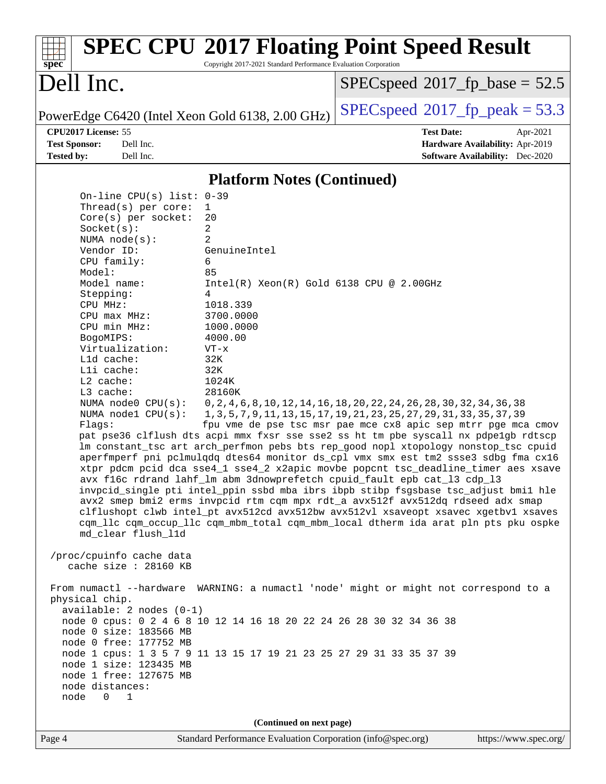#### Page 4 Standard Performance Evaluation Corporation [\(info@spec.org\)](mailto:info@spec.org) <https://www.spec.org/> **[spec](http://www.spec.org/) [SPEC CPU](http://www.spec.org/auto/cpu2017/Docs/result-fields.html#SPECCPU2017FloatingPointSpeedResult)[2017 Floating Point Speed Result](http://www.spec.org/auto/cpu2017/Docs/result-fields.html#SPECCPU2017FloatingPointSpeedResult)** Copyright 2017-2021 Standard Performance Evaluation Corporation Dell Inc. PowerEdge C6420 (Intel Xeon Gold 6138, 2.00 GHz)  $\left|$  [SPECspeed](http://www.spec.org/auto/cpu2017/Docs/result-fields.html#SPECspeed2017fppeak)<sup>®</sup>[2017\\_fp\\_peak = 5](http://www.spec.org/auto/cpu2017/Docs/result-fields.html#SPECspeed2017fppeak)3.3  $SPECspeed^{\circ}2017\_fp\_base = 52.5$  $SPECspeed^{\circ}2017\_fp\_base = 52.5$ **[CPU2017 License:](http://www.spec.org/auto/cpu2017/Docs/result-fields.html#CPU2017License)** 55 **[Test Date:](http://www.spec.org/auto/cpu2017/Docs/result-fields.html#TestDate)** Apr-2021 **[Test Sponsor:](http://www.spec.org/auto/cpu2017/Docs/result-fields.html#TestSponsor)** Dell Inc. **[Hardware Availability:](http://www.spec.org/auto/cpu2017/Docs/result-fields.html#HardwareAvailability)** Apr-2019 **[Tested by:](http://www.spec.org/auto/cpu2017/Docs/result-fields.html#Testedby)** Dell Inc. **[Software Availability:](http://www.spec.org/auto/cpu2017/Docs/result-fields.html#SoftwareAvailability)** Dec-2020 **[Platform Notes \(Continued\)](http://www.spec.org/auto/cpu2017/Docs/result-fields.html#PlatformNotes)** On-line CPU(s) list: 0-39 Thread(s) per core: 1 Core(s) per socket: 20 Socket(s): 2 NUMA node(s): 2 Vendor ID: GenuineIntel CPU family: 6 Model: 85 Model name: Intel(R) Xeon(R) Gold 6138 CPU @ 2.00GHz Stepping: 4 CPU MHz: 1018.339 CPU max MHz: 3700.0000 CPU min MHz: 1000.0000 BogoMIPS: 4000.00 Virtualization: VT-x L1d cache: 32K L1i cache: 32K L2 cache: 1024K L3 cache: 28160K NUMA node0 CPU(s): 0,2,4,6,8,10,12,14,16,18,20,22,24,26,28,30,32,34,36,38 NUMA node1 CPU(s): 1,3,5,7,9,11,13,15,17,19,21,23,25,27,29,31,33,35,37,39 Flags: fpu vme de pse tsc msr pae mce cx8 apic sep mtrr pge mca cmov pat pse36 clflush dts acpi mmx fxsr sse sse2 ss ht tm pbe syscall nx pdpe1gb rdtscp lm constant\_tsc art arch\_perfmon pebs bts rep\_good nopl xtopology nonstop\_tsc cpuid aperfmperf pni pclmulqdq dtes64 monitor ds\_cpl vmx smx est tm2 ssse3 sdbg fma cx16 xtpr pdcm pcid dca sse4\_1 sse4\_2 x2apic movbe popcnt tsc\_deadline\_timer aes xsave avx f16c rdrand lahf\_lm abm 3dnowprefetch cpuid\_fault epb cat\_l3 cdp\_l3 invpcid\_single pti intel\_ppin ssbd mba ibrs ibpb stibp fsgsbase tsc\_adjust bmi1 hle avx2 smep bmi2 erms invpcid rtm cqm mpx rdt\_a avx512f avx512dq rdseed adx smap clflushopt clwb intel\_pt avx512cd avx512bw avx512vl xsaveopt xsavec xgetbv1 xsaves cqm\_llc cqm\_occup\_llc cqm\_mbm\_total cqm\_mbm\_local dtherm ida arat pln pts pku ospke md\_clear flush\_l1d /proc/cpuinfo cache data cache size : 28160 KB From numactl --hardware WARNING: a numactl 'node' might or might not correspond to a physical chip. available: 2 nodes (0-1) node 0 cpus: 0 2 4 6 8 10 12 14 16 18 20 22 24 26 28 30 32 34 36 38 node 0 size: 183566 MB node 0 free: 177752 MB node 1 cpus: 1 3 5 7 9 11 13 15 17 19 21 23 25 27 29 31 33 35 37 39 node 1 size: 123435 MB node 1 free: 127675 MB node distances: node 0 1 **(Continued on next page)**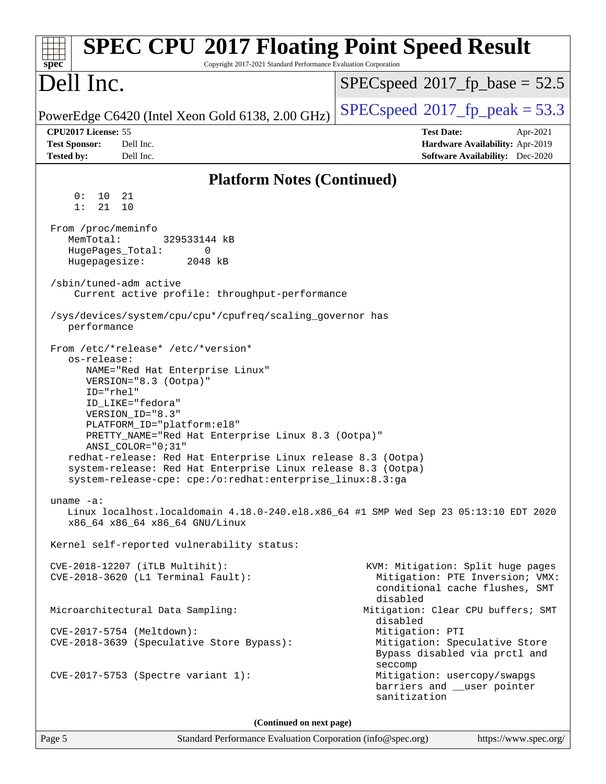| <b>SPEC CPU®2017 Floating Point Speed Result</b><br>Copyright 2017-2021 Standard Performance Evaluation Corporation<br>$spec^*$                                                                                                                                                                                                                                                                                                                                                 |                                                                                                                    |  |
|---------------------------------------------------------------------------------------------------------------------------------------------------------------------------------------------------------------------------------------------------------------------------------------------------------------------------------------------------------------------------------------------------------------------------------------------------------------------------------|--------------------------------------------------------------------------------------------------------------------|--|
| Dell Inc.                                                                                                                                                                                                                                                                                                                                                                                                                                                                       | $SPEC speed^{\circ}2017\_fp\_base = 52.5$                                                                          |  |
| PowerEdge C6420 (Intel Xeon Gold 6138, 2.00 GHz)                                                                                                                                                                                                                                                                                                                                                                                                                                | $SPEC speed$ <sup>®</sup> 2017_fp_peak = 53.3                                                                      |  |
| CPU2017 License: 55<br><b>Test Sponsor:</b><br>Dell Inc.<br><b>Tested by:</b><br>Dell Inc.                                                                                                                                                                                                                                                                                                                                                                                      | <b>Test Date:</b><br>Apr-2021<br>Hardware Availability: Apr-2019<br><b>Software Availability:</b> Dec-2020         |  |
|                                                                                                                                                                                                                                                                                                                                                                                                                                                                                 |                                                                                                                    |  |
| <b>Platform Notes (Continued)</b><br>0:<br>10<br>21                                                                                                                                                                                                                                                                                                                                                                                                                             |                                                                                                                    |  |
| 1:<br>21<br>10                                                                                                                                                                                                                                                                                                                                                                                                                                                                  |                                                                                                                    |  |
| From /proc/meminfo<br>MemTotal:<br>329533144 kB<br>HugePages_Total:<br>0<br>Hugepagesize:<br>2048 kB                                                                                                                                                                                                                                                                                                                                                                            |                                                                                                                    |  |
| /sbin/tuned-adm active<br>Current active profile: throughput-performance                                                                                                                                                                                                                                                                                                                                                                                                        |                                                                                                                    |  |
| /sys/devices/system/cpu/cpu*/cpufreq/scaling_governor has<br>performance                                                                                                                                                                                                                                                                                                                                                                                                        |                                                                                                                    |  |
| From /etc/*release* /etc/*version*<br>os-release:<br>NAME="Red Hat Enterprise Linux"<br>VERSION="8.3 (Ootpa)"<br>ID="rhel"<br>ID_LIKE="fedora"<br>VERSION_ID="8.3"<br>PLATFORM_ID="platform:el8"<br>PRETTY_NAME="Red Hat Enterprise Linux 8.3 (Ootpa)"<br>$ANSI$ _COLOR=" $0:31$ "<br>redhat-release: Red Hat Enterprise Linux release 8.3 (Ootpa)<br>system-release: Red Hat Enterprise Linux release 8.3 (Ootpa)<br>system-release-cpe: cpe:/o:redhat:enterprise_linux:8.3:ga |                                                                                                                    |  |
| uname $-a$ :<br>Linux localhost.localdomain 4.18.0-240.el8.x86_64 #1 SMP Wed Sep 23 05:13:10 EDT 2020<br>x86_64 x86_64 x86_64 GNU/Linux                                                                                                                                                                                                                                                                                                                                         |                                                                                                                    |  |
| Kernel self-reported vulnerability status:                                                                                                                                                                                                                                                                                                                                                                                                                                      |                                                                                                                    |  |
| CVE-2018-12207 (iTLB Multihit):<br>CVE-2018-3620 (L1 Terminal Fault):                                                                                                                                                                                                                                                                                                                                                                                                           | KVM: Mitigation: Split huge pages<br>Mitigation: PTE Inversion; VMX:<br>conditional cache flushes, SMT<br>disabled |  |
| Microarchitectural Data Sampling:                                                                                                                                                                                                                                                                                                                                                                                                                                               | Mitigation: Clear CPU buffers; SMT<br>disabled                                                                     |  |
| CVE-2017-5754 (Meltdown):<br>CVE-2018-3639 (Speculative Store Bypass):                                                                                                                                                                                                                                                                                                                                                                                                          | Mitigation: PTI<br>Mitigation: Speculative Store<br>Bypass disabled via prctl and<br>seccomp                       |  |
| CVE-2017-5753 (Spectre variant 1):                                                                                                                                                                                                                                                                                                                                                                                                                                              | Mitigation: usercopy/swapgs<br>barriers and __user pointer<br>sanitization                                         |  |
| (Continued on next page)                                                                                                                                                                                                                                                                                                                                                                                                                                                        |                                                                                                                    |  |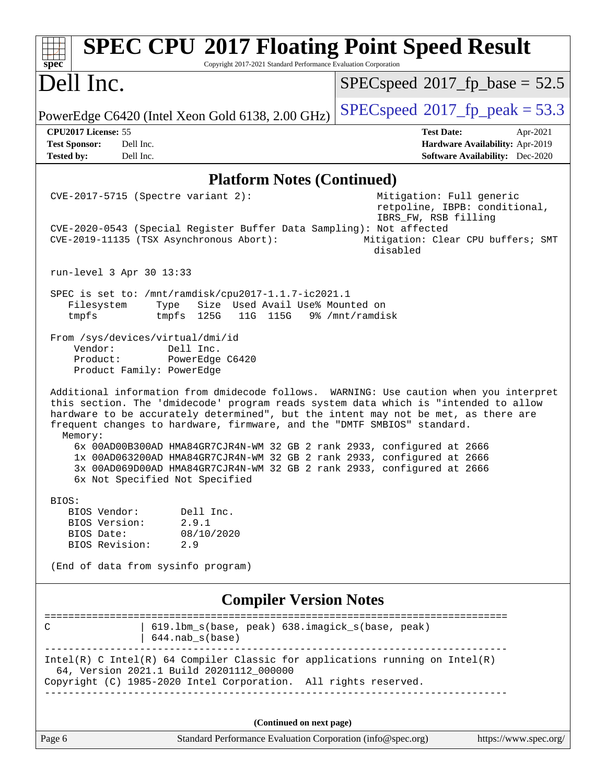| Dell Inc.<br>$SPEC speed^{\circ}2017\_fp\_base = 52.5$<br>$SPEC speed^{\circ}2017$ [p_peak = 53.3<br>PowerEdge C6420 (Intel Xeon Gold 6138, 2.00 GHz)                                                                                                                                                                                                                                                                                                                                                                                                                                                                     |  |  |
|---------------------------------------------------------------------------------------------------------------------------------------------------------------------------------------------------------------------------------------------------------------------------------------------------------------------------------------------------------------------------------------------------------------------------------------------------------------------------------------------------------------------------------------------------------------------------------------------------------------------------|--|--|
|                                                                                                                                                                                                                                                                                                                                                                                                                                                                                                                                                                                                                           |  |  |
|                                                                                                                                                                                                                                                                                                                                                                                                                                                                                                                                                                                                                           |  |  |
| CPU2017 License: 55<br><b>Test Date:</b><br>Apr-2021<br>Dell Inc.<br><b>Test Sponsor:</b><br>Hardware Availability: Apr-2019<br>Dell Inc.<br><b>Software Availability:</b> Dec-2020<br><b>Tested by:</b>                                                                                                                                                                                                                                                                                                                                                                                                                  |  |  |
| <b>Platform Notes (Continued)</b>                                                                                                                                                                                                                                                                                                                                                                                                                                                                                                                                                                                         |  |  |
| CVE-2017-5715 (Spectre variant 2):<br>Mitigation: Full generic<br>retpoline, IBPB: conditional,<br>IBRS_FW, RSB filling<br>CVE-2020-0543 (Special Register Buffer Data Sampling): Not affected<br>CVE-2019-11135 (TSX Asynchronous Abort):<br>Mitigation: Clear CPU buffers; SMT<br>disabled                                                                                                                                                                                                                                                                                                                              |  |  |
| run-level 3 Apr 30 13:33                                                                                                                                                                                                                                                                                                                                                                                                                                                                                                                                                                                                  |  |  |
| SPEC is set to: /mnt/ramdisk/cpu2017-1.1.7-ic2021.1<br>Size Used Avail Use% Mounted on<br>Filesystem<br>Type<br>tmpfs<br>tmpfs 125G<br>11G 115G 9% /mnt/ramdisk                                                                                                                                                                                                                                                                                                                                                                                                                                                           |  |  |
| From /sys/devices/virtual/dmi/id<br>Vendor:<br>Dell Inc.<br>PowerEdge C6420<br>Product:<br>Product Family: PowerEdge                                                                                                                                                                                                                                                                                                                                                                                                                                                                                                      |  |  |
| Additional information from dmidecode follows. WARNING: Use caution when you interpret<br>this section. The 'dmidecode' program reads system data which is "intended to allow<br>hardware to be accurately determined", but the intent may not be met, as there are<br>frequent changes to hardware, firmware, and the "DMTF SMBIOS" standard.<br>Memory:<br>6x 00AD00B300AD HMA84GR7CJR4N-WM 32 GB 2 rank 2933, configured at 2666<br>1x 00AD063200AD HMA84GR7CJR4N-WM 32 GB 2 rank 2933, configured at 2666<br>3x 00AD069D00AD HMA84GR7CJR4N-WM 32 GB 2 rank 2933, configured at 2666<br>6x Not Specified Not Specified |  |  |
| BIOS:                                                                                                                                                                                                                                                                                                                                                                                                                                                                                                                                                                                                                     |  |  |
| Dell Inc.<br>BIOS Vendor:<br>BIOS Version:<br>2.9.1<br>BIOS Date:<br>08/10/2020<br>BIOS Revision: 2.9                                                                                                                                                                                                                                                                                                                                                                                                                                                                                                                     |  |  |
| (End of data from sysinfo program)                                                                                                                                                                                                                                                                                                                                                                                                                                                                                                                                                                                        |  |  |
| <b>Compiler Version Notes</b>                                                                                                                                                                                                                                                                                                                                                                                                                                                                                                                                                                                             |  |  |
| =====================                                                                                                                                                                                                                                                                                                                                                                                                                                                                                                                                                                                                     |  |  |
| 619.1bm_s(base, peak) 638.imagick_s(base, peak)<br>C<br>$644.nab_s(base)$                                                                                                                                                                                                                                                                                                                                                                                                                                                                                                                                                 |  |  |
| $Intel(R)$ C Intel(R) 64 Compiler Classic for applications running on Intel(R)<br>64, Version 2021.1 Build 20201112_000000<br>Copyright (C) 1985-2020 Intel Corporation. All rights reserved.                                                                                                                                                                                                                                                                                                                                                                                                                             |  |  |
|                                                                                                                                                                                                                                                                                                                                                                                                                                                                                                                                                                                                                           |  |  |
| (Continued on next page)<br>Standard Performance Evaluation Corporation (info@spec.org)<br>https://www.spec.org/<br>Page 6                                                                                                                                                                                                                                                                                                                                                                                                                                                                                                |  |  |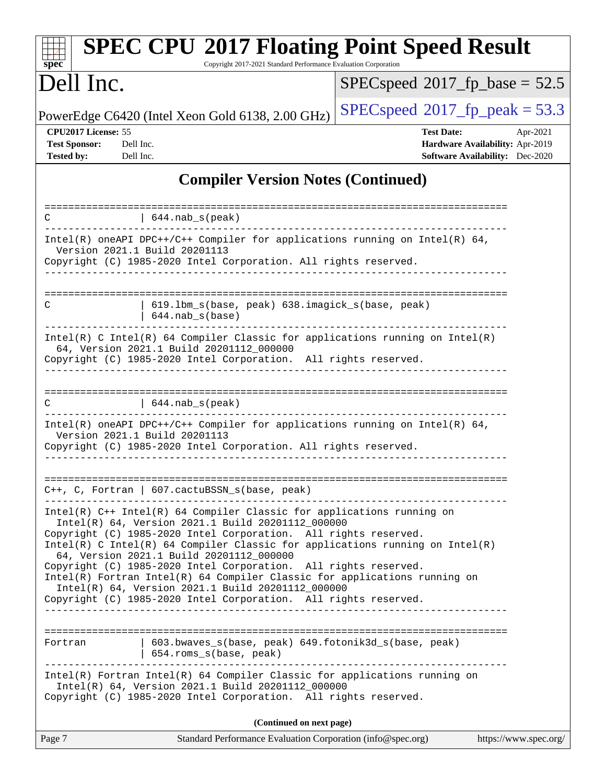| <b>SPEC CPU®2017 Floating Point Speed Result</b><br>Copyright 2017-2021 Standard Performance Evaluation Corporation<br>$s\overline{p}\overline{e}\overline{c}$                                                                                                                                                                                                                                                                                                                                                                     |                                                                                                            |  |
|------------------------------------------------------------------------------------------------------------------------------------------------------------------------------------------------------------------------------------------------------------------------------------------------------------------------------------------------------------------------------------------------------------------------------------------------------------------------------------------------------------------------------------|------------------------------------------------------------------------------------------------------------|--|
| Dell Inc.                                                                                                                                                                                                                                                                                                                                                                                                                                                                                                                          | $SPEC speed^{\circ}2017$ fp base = 52.5                                                                    |  |
| PowerEdge C6420 (Intel Xeon Gold 6138, 2.00 GHz)                                                                                                                                                                                                                                                                                                                                                                                                                                                                                   | $SPEC speed@2017_fp\_peak = 53.3$                                                                          |  |
| CPU2017 License: 55<br><b>Test Sponsor:</b><br>Dell Inc.<br><b>Tested by:</b><br>Dell Inc.                                                                                                                                                                                                                                                                                                                                                                                                                                         | <b>Test Date:</b><br>Apr-2021<br>Hardware Availability: Apr-2019<br><b>Software Availability:</b> Dec-2020 |  |
| <b>Compiler Version Notes (Continued)</b>                                                                                                                                                                                                                                                                                                                                                                                                                                                                                          |                                                                                                            |  |
| $  644.nab_s(peak)$<br>C                                                                                                                                                                                                                                                                                                                                                                                                                                                                                                           |                                                                                                            |  |
| Intel(R) oneAPI DPC++/C++ Compiler for applications running on Intel(R) $64$ ,<br>Version 2021.1 Build 20201113<br>Copyright (C) 1985-2020 Intel Corporation. All rights reserved.                                                                                                                                                                                                                                                                                                                                                 |                                                                                                            |  |
| 619.1bm_s(base, peak) 638.imagick_s(base, peak)<br>С<br>$644.nab_s(base)$                                                                                                                                                                                                                                                                                                                                                                                                                                                          |                                                                                                            |  |
| Intel(R) C Intel(R) 64 Compiler Classic for applications running on Intel(R)<br>64, Version 2021.1 Build 20201112_000000<br>Copyright (C) 1985-2020 Intel Corporation. All rights reserved.                                                                                                                                                                                                                                                                                                                                        |                                                                                                            |  |
| С<br>$644$ .nab $s$ (peak)                                                                                                                                                                                                                                                                                                                                                                                                                                                                                                         |                                                                                                            |  |
| Intel(R) oneAPI DPC++/C++ Compiler for applications running on Intel(R) 64,<br>Version 2021.1 Build 20201113<br>Copyright (C) 1985-2020 Intel Corporation. All rights reserved.                                                                                                                                                                                                                                                                                                                                                    |                                                                                                            |  |
| $C++$ , C, Fortran   607.cactuBSSN_s(base, peak)                                                                                                                                                                                                                                                                                                                                                                                                                                                                                   | ========                                                                                                   |  |
| $Intel(R)$ C++ Intel(R) 64 Compiler Classic for applications running on<br>Intel(R) 64, Version 2021.1 Build 20201112_000000<br>Copyright (C) 1985-2020 Intel Corporation. All rights reserved.<br>Intel(R) C Intel(R) 64 Compiler Classic for applications running on $Intel(R)$<br>64, Version 2021.1 Build 20201112_000000<br>Copyright (C) 1985-2020 Intel Corporation. All rights reserved.<br>Intel(R) Fortran Intel(R) 64 Compiler Classic for applications running on<br>Intel(R) 64, Version 2021.1 Build 20201112_000000 |                                                                                                            |  |
| Copyright (C) 1985-2020 Intel Corporation. All rights reserved.                                                                                                                                                                                                                                                                                                                                                                                                                                                                    |                                                                                                            |  |
| 603.bwaves_s(base, peak) 649.fotonik3d_s(base, peak)<br>Fortran<br>  654.roms_s(base, peak)                                                                                                                                                                                                                                                                                                                                                                                                                                        |                                                                                                            |  |
| $Intel(R)$ Fortran Intel(R) 64 Compiler Classic for applications running on<br>Intel(R) 64, Version 2021.1 Build 20201112_000000<br>Copyright (C) 1985-2020 Intel Corporation. All rights reserved.                                                                                                                                                                                                                                                                                                                                |                                                                                                            |  |
| (Continued on next page)                                                                                                                                                                                                                                                                                                                                                                                                                                                                                                           |                                                                                                            |  |
| Page 7<br>Standard Performance Evaluation Corporation (info@spec.org)                                                                                                                                                                                                                                                                                                                                                                                                                                                              | https://www.spec.org/                                                                                      |  |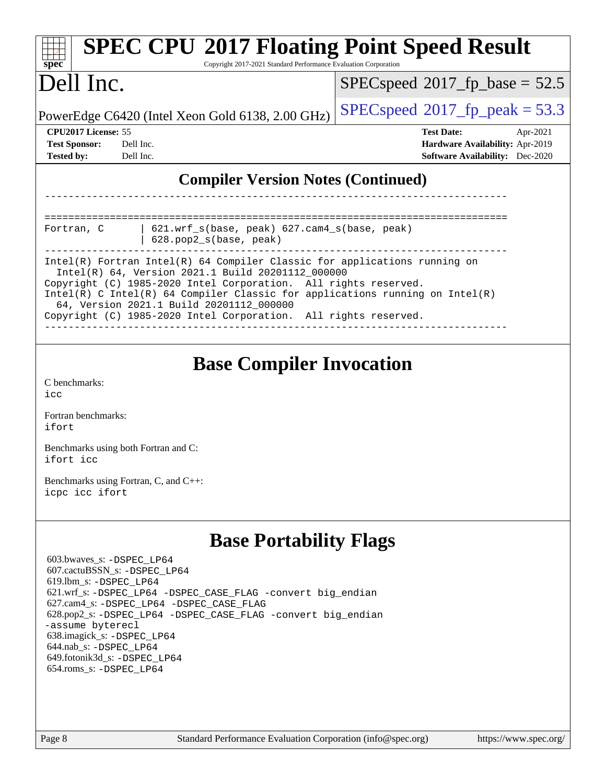| <b>SPEC CPU®2017 Floating Point Speed Result</b><br>Copyright 2017-2021 Standard Performance Evaluation Corporation<br>spec <sup>®</sup>                                                                                                                                                                                                                                                                                               |                                                                                                            |  |
|----------------------------------------------------------------------------------------------------------------------------------------------------------------------------------------------------------------------------------------------------------------------------------------------------------------------------------------------------------------------------------------------------------------------------------------|------------------------------------------------------------------------------------------------------------|--|
| Dell Inc.                                                                                                                                                                                                                                                                                                                                                                                                                              | $SPEC speed^{\circ}2017$ fp base = 52.5                                                                    |  |
| PowerEdge C6420 (Intel Xeon Gold 6138, 2.00 GHz)                                                                                                                                                                                                                                                                                                                                                                                       | $SPEC speed^{\circ}2017$ [p_peak = 53.3                                                                    |  |
| CPU2017 License: 55<br>Dell Inc.<br><b>Test Sponsor:</b><br><b>Tested by:</b><br>Dell Inc.                                                                                                                                                                                                                                                                                                                                             | <b>Test Date:</b><br>Apr-2021<br>Hardware Availability: Apr-2019<br><b>Software Availability:</b> Dec-2020 |  |
| <b>Compiler Version Notes (Continued)</b>                                                                                                                                                                                                                                                                                                                                                                                              |                                                                                                            |  |
|                                                                                                                                                                                                                                                                                                                                                                                                                                        | --------------------------                                                                                 |  |
| 621.wrf_s(base, peak) 627.cam4_s(base, peak)<br>Fortran, C<br>628.pop2_s(base, peak)                                                                                                                                                                                                                                                                                                                                                   |                                                                                                            |  |
| Intel(R) Fortran Intel(R) 64 Compiler Classic for applications running on<br>Intel(R) 64, Version 2021.1 Build 20201112_000000<br>Copyright (C) 1985-2020 Intel Corporation. All rights reserved.<br>$Intel(R)$ C Intel(R) 64 Compiler Classic for applications running on Intel(R)<br>64, Version 2021.1 Build 20201112_000000<br>Copyright (C) 1985-2020 Intel Corporation. All rights reserved.                                     |                                                                                                            |  |
| <b>Base Compiler Invocation</b><br>C benchmarks:<br>icc<br>Fortran benchmarks:                                                                                                                                                                                                                                                                                                                                                         |                                                                                                            |  |
| ifort<br>Benchmarks using both Fortran and C:<br>ifort icc                                                                                                                                                                                                                                                                                                                                                                             |                                                                                                            |  |
| Benchmarks using Fortran, C, and C++:<br>icpc icc ifort                                                                                                                                                                                                                                                                                                                                                                                |                                                                                                            |  |
| <b>Base Portability Flags</b><br>603.bwaves_s: -DSPEC_LP64<br>607.cactuBSSN_s: -DSPEC_LP64<br>619.1bm_s: -DSPEC_LP64<br>621.wrf_s: -DSPEC_LP64 -DSPEC_CASE_FLAG -convert big_endian<br>627.cam4_s: -DSPEC_LP64 -DSPEC_CASE_FLAG<br>628.pop2_s: -DSPEC_LP64 -DSPEC_CASE_FLAG -convert big_endian<br>-assume byterecl<br>638.imagick_s: -DSPEC_LP64<br>644.nab_s: -DSPEC_LP64<br>649.fotonik3d_s: -DSPEC_LP64<br>654.roms_s: -DSPEC_LP64 |                                                                                                            |  |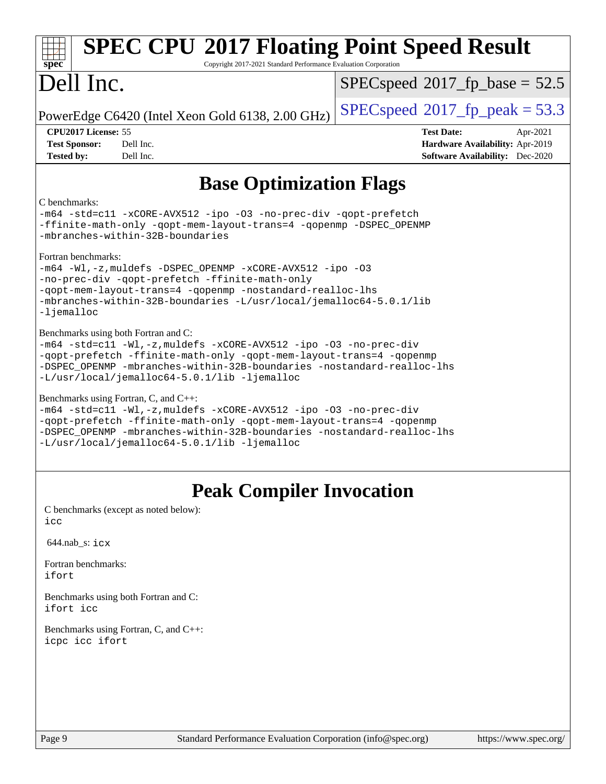| <b>SPEC CPU®2017 Floating Point Speed Result</b><br>Copyright 2017-2021 Standard Performance Evaluation Corporation<br>spec <sup>®</sup>                                                                                                                                                                    |                                                                                                            |  |
|-------------------------------------------------------------------------------------------------------------------------------------------------------------------------------------------------------------------------------------------------------------------------------------------------------------|------------------------------------------------------------------------------------------------------------|--|
| Dell Inc.                                                                                                                                                                                                                                                                                                   | $SPEC speed^{\circ}2017\_fp\_base = 52.5$                                                                  |  |
| PowerEdge C6420 (Intel Xeon Gold 6138, 2.00 GHz)                                                                                                                                                                                                                                                            | $SPEC speed^{\circ}2017$ [p_peak = 53.3                                                                    |  |
| CPU2017 License: 55<br><b>Test Sponsor:</b><br>Dell Inc.<br><b>Tested by:</b><br>Dell Inc.                                                                                                                                                                                                                  | <b>Test Date:</b><br>Apr-2021<br>Hardware Availability: Apr-2019<br><b>Software Availability:</b> Dec-2020 |  |
| <b>Base Optimization Flags</b>                                                                                                                                                                                                                                                                              |                                                                                                            |  |
| C benchmarks:<br>-m64 -std=cl1 -xCORE-AVX512 -ipo -03 -no-prec-div -qopt-prefetch<br>-ffinite-math-only -qopt-mem-layout-trans=4 -qopenmp -DSPEC_OPENMP<br>-mbranches-within-32B-boundaries                                                                                                                 |                                                                                                            |  |
| Fortran benchmarks:<br>-m64 -Wl,-z, muldefs -DSPEC_OPENMP -xCORE-AVX512 -ipo -03<br>-no-prec-div -qopt-prefetch -ffinite-math-only<br>-qopt-mem-layout-trans=4 -qopenmp -nostandard-realloc-lhs<br>-mbranches-within-32B-boundaries -L/usr/local/jemalloc64-5.0.1/lib<br>-ljemalloc                         |                                                                                                            |  |
| Benchmarks using both Fortran and C:<br>-m64 -std=c11 -Wl,-z, muldefs -xCORE-AVX512 -ipo -03 -no-prec-div<br>-qopt-prefetch -ffinite-math-only -qopt-mem-layout-trans=4 -qopenmp<br>-DSPEC_OPENMP -mbranches-within-32B-boundaries -nostandard-realloc-lhs<br>-L/usr/local/jemalloc64-5.0.1/lib -ljemalloc  |                                                                                                            |  |
| Benchmarks using Fortran, C, and C++:<br>-m64 -std=c11 -Wl,-z, muldefs -xCORE-AVX512 -ipo -03 -no-prec-div<br>-qopt-prefetch -ffinite-math-only -qopt-mem-layout-trans=4 -qopenmp<br>-DSPEC OPENMP -mbranches-within-32B-boundaries -nostandard-realloc-lhs<br>-L/usr/local/jemalloc64-5.0.1/lib -ljemalloc |                                                                                                            |  |
| <b>Peak Compiler Invocation</b>                                                                                                                                                                                                                                                                             |                                                                                                            |  |
| C benchmarks (except as noted below):<br>icc                                                                                                                                                                                                                                                                |                                                                                                            |  |
| $644.nab$ <sub>_S</sub> : $i$ $cx$                                                                                                                                                                                                                                                                          |                                                                                                            |  |
| Fortran benchmarks:<br>ifort                                                                                                                                                                                                                                                                                |                                                                                                            |  |
| Benchmarks using both Fortran and C:<br>ifort icc                                                                                                                                                                                                                                                           |                                                                                                            |  |

[Benchmarks using Fortran, C, and C++:](http://www.spec.org/auto/cpu2017/Docs/result-fields.html#BenchmarksusingFortranCandCXX) [icpc](http://www.spec.org/cpu2017/results/res2021q4/cpu2017-20211122-30172.flags.html#user_CC_CXX_FCpeak_intel_icpc_c510b6838c7f56d33e37e94d029a35b4a7bccf4766a728ee175e80a419847e808290a9b78be685c44ab727ea267ec2f070ec5dc83b407c0218cded6866a35d07) [icc](http://www.spec.org/cpu2017/results/res2021q4/cpu2017-20211122-30172.flags.html#user_CC_CXX_FCpeak_intel_icc_66fc1ee009f7361af1fbd72ca7dcefbb700085f36577c54f309893dd4ec40d12360134090235512931783d35fd58c0460139e722d5067c5574d8eaf2b3e37e92) [ifort](http://www.spec.org/cpu2017/results/res2021q4/cpu2017-20211122-30172.flags.html#user_CC_CXX_FCpeak_intel_ifort_8111460550e3ca792625aed983ce982f94888b8b503583aa7ba2b8303487b4d8a21a13e7191a45c5fd58ff318f48f9492884d4413fa793fd88dd292cad7027ca)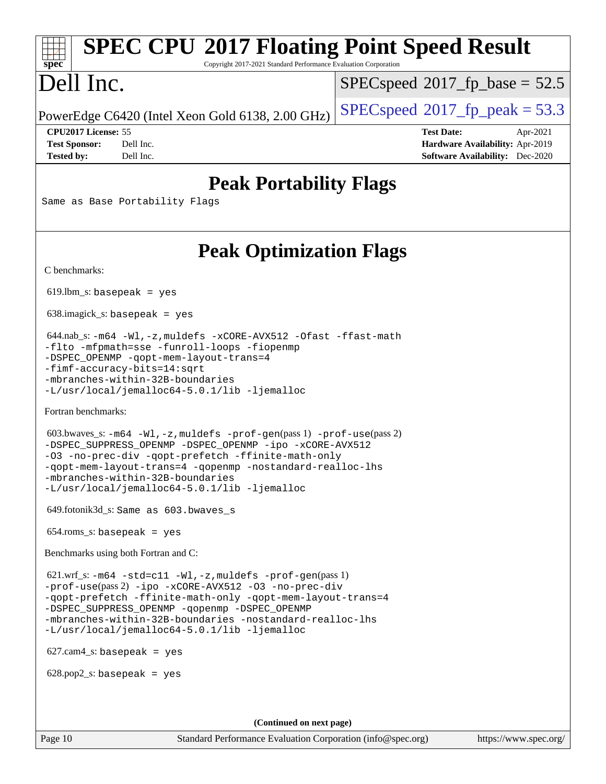# **[SPEC CPU](http://www.spec.org/auto/cpu2017/Docs/result-fields.html#SPECCPU2017FloatingPointSpeedResult)[2017 Floating Point Speed Result](http://www.spec.org/auto/cpu2017/Docs/result-fields.html#SPECCPU2017FloatingPointSpeedResult)**

Copyright 2017-2021 Standard Performance Evaluation Corporation

## Dell Inc.

**[spec](http://www.spec.org/)**

 $SPECspeed^{\circ}2017\_fp\_base = 52.5$  $SPECspeed^{\circ}2017\_fp\_base = 52.5$ 

PowerEdge C6420 (Intel Xeon Gold 6138, 2.00 GHz)  $\left|$  [SPECspeed](http://www.spec.org/auto/cpu2017/Docs/result-fields.html#SPECspeed2017fppeak)<sup>®</sup>[2017\\_fp\\_peak = 5](http://www.spec.org/auto/cpu2017/Docs/result-fields.html#SPECspeed2017fppeak)3.3

**[CPU2017 License:](http://www.spec.org/auto/cpu2017/Docs/result-fields.html#CPU2017License)** 55 **[Test Date:](http://www.spec.org/auto/cpu2017/Docs/result-fields.html#TestDate)** Apr-2021 **[Test Sponsor:](http://www.spec.org/auto/cpu2017/Docs/result-fields.html#TestSponsor)** Dell Inc. **[Hardware Availability:](http://www.spec.org/auto/cpu2017/Docs/result-fields.html#HardwareAvailability)** Apr-2019 **[Tested by:](http://www.spec.org/auto/cpu2017/Docs/result-fields.html#Testedby)** Dell Inc. **[Software Availability:](http://www.spec.org/auto/cpu2017/Docs/result-fields.html#SoftwareAvailability)** Dec-2020

### **[Peak Portability Flags](http://www.spec.org/auto/cpu2017/Docs/result-fields.html#PeakPortabilityFlags)**

Same as Base Portability Flags

## **[Peak Optimization Flags](http://www.spec.org/auto/cpu2017/Docs/result-fields.html#PeakOptimizationFlags)**

[C benchmarks](http://www.spec.org/auto/cpu2017/Docs/result-fields.html#Cbenchmarks):

 $619.$ lbm\_s: basepeak = yes

638.imagick\_s: basepeak = yes

```
 644.nab_s: -m64 -Wl,-z,muldefs -xCORE-AVX512 -Ofast -ffast-math
-flto -mfpmath=sse -funroll-loops -fiopenmp
-DSPEC_OPENMP -qopt-mem-layout-trans=4
-fimf-accuracy-bits=14:sqrt
-mbranches-within-32B-boundaries
-L/usr/local/jemalloc64-5.0.1/lib -ljemalloc
```
[Fortran benchmarks](http://www.spec.org/auto/cpu2017/Docs/result-fields.html#Fortranbenchmarks):

```
 603.bwaves_s: -m64 -Wl,-z,muldefs -prof-gen(pass 1) -prof-use(pass 2)
-DSPEC_SUPPRESS_OPENMP -DSPEC_OPENMP -ipo -xCORE-AVX512
-O3 -no-prec-div -qopt-prefetch -ffinite-math-only
-qopt-mem-layout-trans=4 -qopenmp -nostandard-realloc-lhs
-mbranches-within-32B-boundaries
-L/usr/local/jemalloc64-5.0.1/lib -ljemalloc
```
649.fotonik3d\_s: Same as 603.bwaves\_s

654.roms\_s: basepeak = yes

[Benchmarks using both Fortran and C](http://www.spec.org/auto/cpu2017/Docs/result-fields.html#BenchmarksusingbothFortranandC):

 621.wrf\_s: [-m64](http://www.spec.org/cpu2017/results/res2021q4/cpu2017-20211122-30172.flags.html#user_peakCCFCLD621_wrf_s_m64-icc) [-std=c11](http://www.spec.org/cpu2017/results/res2021q4/cpu2017-20211122-30172.flags.html#user_peakCC621_wrf_s_std-icc-std_0e1c27790398a4642dfca32ffe6c27b5796f9c2d2676156f2e42c9c44eaad0c049b1cdb667a270c34d979996257aeb8fc440bfb01818dbc9357bd9d174cb8524) [-Wl,-z,muldefs](http://www.spec.org/cpu2017/results/res2021q4/cpu2017-20211122-30172.flags.html#user_peakEXTRA_LDFLAGS621_wrf_s_link_force_multiple1_b4cbdb97b34bdee9ceefcfe54f4c8ea74255f0b02a4b23e853cdb0e18eb4525ac79b5a88067c842dd0ee6996c24547a27a4b99331201badda8798ef8a743f577) [-prof-gen](http://www.spec.org/cpu2017/results/res2021q4/cpu2017-20211122-30172.flags.html#user_peakPASS1_CFLAGSPASS1_FFLAGSPASS1_LDFLAGS621_wrf_s_prof_gen_5aa4926d6013ddb2a31985c654b3eb18169fc0c6952a63635c234f711e6e63dd76e94ad52365559451ec499a2cdb89e4dc58ba4c67ef54ca681ffbe1461d6b36)(pass 1) [-prof-use](http://www.spec.org/cpu2017/results/res2021q4/cpu2017-20211122-30172.flags.html#user_peakPASS2_CFLAGSPASS2_FFLAGSPASS2_LDFLAGS621_wrf_s_prof_use_1a21ceae95f36a2b53c25747139a6c16ca95bd9def2a207b4f0849963b97e94f5260e30a0c64f4bb623698870e679ca08317ef8150905d41bd88c6f78df73f19)(pass 2) [-ipo](http://www.spec.org/cpu2017/results/res2021q4/cpu2017-20211122-30172.flags.html#user_peakPASS1_COPTIMIZEPASS1_FOPTIMIZEPASS2_COPTIMIZEPASS2_FOPTIMIZE621_wrf_s_f-ipo) [-xCORE-AVX512](http://www.spec.org/cpu2017/results/res2021q4/cpu2017-20211122-30172.flags.html#user_peakPASS2_COPTIMIZEPASS2_FOPTIMIZE621_wrf_s_f-xCORE-AVX512) [-O3](http://www.spec.org/cpu2017/results/res2021q4/cpu2017-20211122-30172.flags.html#user_peakPASS1_COPTIMIZEPASS1_FOPTIMIZEPASS2_COPTIMIZEPASS2_FOPTIMIZE621_wrf_s_f-O3) [-no-prec-div](http://www.spec.org/cpu2017/results/res2021q4/cpu2017-20211122-30172.flags.html#user_peakPASS1_COPTIMIZEPASS1_FOPTIMIZEPASS2_COPTIMIZEPASS2_FOPTIMIZE621_wrf_s_f-no-prec-div) [-qopt-prefetch](http://www.spec.org/cpu2017/results/res2021q4/cpu2017-20211122-30172.flags.html#user_peakPASS1_COPTIMIZEPASS1_FOPTIMIZEPASS2_COPTIMIZEPASS2_FOPTIMIZE621_wrf_s_f-qopt-prefetch) [-ffinite-math-only](http://www.spec.org/cpu2017/results/res2021q4/cpu2017-20211122-30172.flags.html#user_peakPASS1_COPTIMIZEPASS1_FOPTIMIZEPASS2_COPTIMIZEPASS2_FOPTIMIZE621_wrf_s_f_finite_math_only_cb91587bd2077682c4b38af759c288ed7c732db004271a9512da14a4f8007909a5f1427ecbf1a0fb78ff2a814402c6114ac565ca162485bbcae155b5e4258871) [-qopt-mem-layout-trans=4](http://www.spec.org/cpu2017/results/res2021q4/cpu2017-20211122-30172.flags.html#user_peakPASS1_COPTIMIZEPASS1_FOPTIMIZEPASS2_COPTIMIZEPASS2_FOPTIMIZE621_wrf_s_f-qopt-mem-layout-trans_fa39e755916c150a61361b7846f310bcdf6f04e385ef281cadf3647acec3f0ae266d1a1d22d972a7087a248fd4e6ca390a3634700869573d231a252c784941a8) [-DSPEC\\_SUPPRESS\\_OPENMP](http://www.spec.org/cpu2017/results/res2021q4/cpu2017-20211122-30172.flags.html#suite_peakPASS1_COPTIMIZEPASS1_FOPTIMIZE621_wrf_s_DSPEC_SUPPRESS_OPENMP) [-qopenmp](http://www.spec.org/cpu2017/results/res2021q4/cpu2017-20211122-30172.flags.html#user_peakPASS2_COPTIMIZEPASS2_FOPTIMIZE621_wrf_s_qopenmp_16be0c44f24f464004c6784a7acb94aca937f053568ce72f94b139a11c7c168634a55f6653758ddd83bcf7b8463e8028bb0b48b77bcddc6b78d5d95bb1df2967) [-DSPEC\\_OPENMP](http://www.spec.org/cpu2017/results/res2021q4/cpu2017-20211122-30172.flags.html#suite_peakPASS2_COPTIMIZEPASS2_FOPTIMIZE621_wrf_s_DSPEC_OPENMP) [-mbranches-within-32B-boundaries](http://www.spec.org/cpu2017/results/res2021q4/cpu2017-20211122-30172.flags.html#user_peakEXTRA_COPTIMIZEEXTRA_FOPTIMIZE621_wrf_s_f-mbranches-within-32B-boundaries) [-nostandard-realloc-lhs](http://www.spec.org/cpu2017/results/res2021q4/cpu2017-20211122-30172.flags.html#user_peakEXTRA_FOPTIMIZE621_wrf_s_f_2003_std_realloc_82b4557e90729c0f113870c07e44d33d6f5a304b4f63d4c15d2d0f1fab99f5daaed73bdb9275d9ae411527f28b936061aa8b9c8f2d63842963b95c9dd6426b8a) [-L/usr/local/jemalloc64-5.0.1/lib](http://www.spec.org/cpu2017/results/res2021q4/cpu2017-20211122-30172.flags.html#user_peakEXTRA_LIBS621_wrf_s_jemalloc_link_path64_1_cc289568b1a6c0fd3b62c91b824c27fcb5af5e8098e6ad028160d21144ef1b8aef3170d2acf0bee98a8da324cfe4f67d0a3d0c4cc4673d993d694dc2a0df248b) [-ljemalloc](http://www.spec.org/cpu2017/results/res2021q4/cpu2017-20211122-30172.flags.html#user_peakEXTRA_LIBS621_wrf_s_jemalloc_link_lib_d1249b907c500fa1c0672f44f562e3d0f79738ae9e3c4a9c376d49f265a04b9c99b167ecedbf6711b3085be911c67ff61f150a17b3472be731631ba4d0471706)

627.cam4\_s: basepeak = yes

 $628.pop2_s:$  basepeak = yes

**(Continued on next page)**